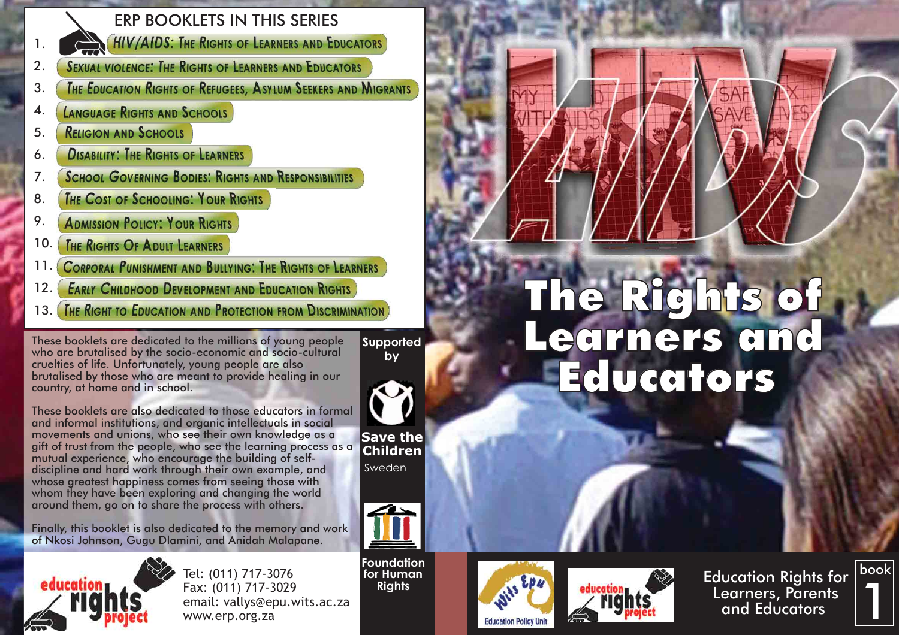### 1.

#### ERP BOOKLETS IN THIS SERIES

**HIV/AIDS: THE RIGHTS OF LEARNERS AND EDUCATORS** 

- **SEXUAL VIOLENCE: THE RIGHTS OF LEARNERS AND EDUCATORS** 2.
- **THE EDUCATION RIGHTS OF REFUGEES. ASYLUM SEEKERS AND MIGRANTS** 3.
- **LANGUAGE RIGHTS AND SCHOOLS** 4.
- **RELIGION AND SCHOOLS** 5.
- **DISABILITY: THE RIGHTS OF LEARNERS** 6.
- **SCHOOL GOVERNING BODIES: RIGHTS AND RESPONSIBILITIES** 7.
- **THE COST OF SCHOOLING: YOUR RIGHTS** 8.
- **ADMISSION POLICY: YOUR RIGHTS** 9.
- **THE RIGHTS OF ADULT LEARNERS** 10.
- **CORPORAL PUNISHMENT AND BULLYING: THE RIGHTS OF LEARNERS** 11.
- 12.
- 

These booklets are dedicated to the millions of young people who are brutalised by the socio-economic and socio-cultural cruelties of life. Unfortunately, young people are also brutalised by those who are meant to provide healing in our country, at home and in school.

**Supported by**



**Children** Sweden

These booklets are also dedicated to those educators in formal and informal institutions, and organic intellectuals in social movements and unions, who see their own knowledge as a gift of trust from the people, who see the learning process as a mutual experience, who encourage the building of selfdiscipline and hard work through their own example, and whose greatest happiness comes from seeing those with whom they have been exploring and changing the world around them, go on to share the process with others.

Finally, this booklet is also dedicated to the memory and work of Nkosi Johnson, Gugu Dlamini, and Anidah Malapane.



Tel: (011) 717-3076 Fax: (011) 717-3029 email: vallys@epu.wits.ac.za www.erp.org.za

**Foundation for Human Rights**









# These booklets are dedicated to the millions of young people<br>
These booklets are dedicated to the millions of young people<br>
Who are brutalised by the socio-economic and scriptcultural supported<br>
Supported<br>
CCITDCIS CIDC **Educators**

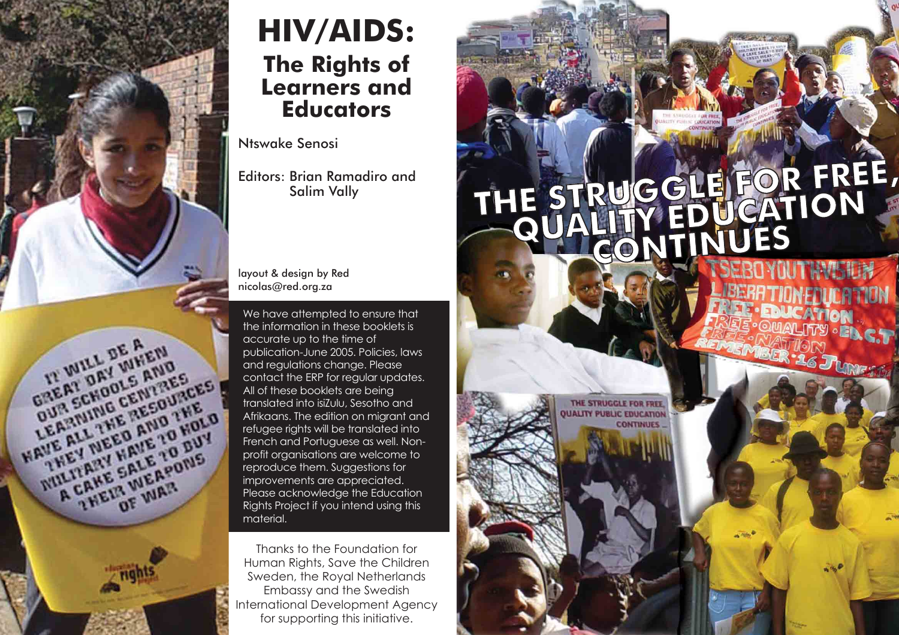

## **HIV/AIDS: The Rights of Learners and Educators**

Ntswake Senosi

Editors: Brian Ramadiro and Salim Vally

layout & design by Red nicolas@red.org.za

We have attempted to ensure that the information in these booklets is accurate up to the time of publication-June 2005. Policies, laws and regulations change. Please contact the ERP for regular updates. All of these booklets are being translated into isiZulu, Sesotho and Afrikaans. The edition on migrant and refugee rights will be translated into French and Portuguese as well. Nonprofit organisations are welcome to reproduce them. Suggestions for improvements are appreciated. Please acknowledge the Education Rights Project if you intend using this material.

Thanks to the Foundation for Human Rights, Save the Children Sweden, the Royal Netherlands Embassy and the Swedish International Development Agency for supporting this initiative.

# **THE STRUGGLE FOR FREE, FREE, QUALITY EDUCATION CONTINUES**

THE STRUGGLE FOR FREE **UALITY PUBLIC EDUCATION CONTINUES**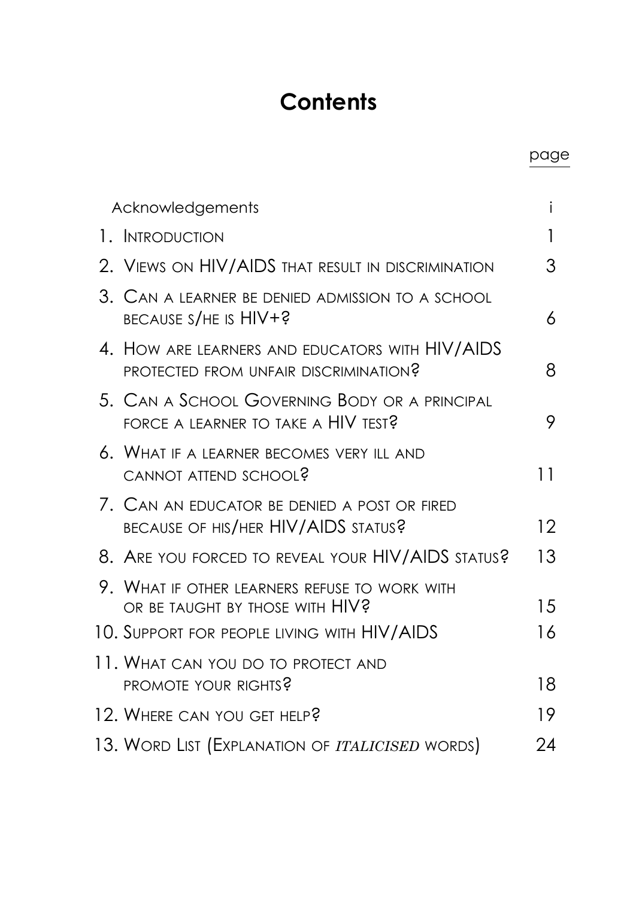#### **Contents**

page

| Acknowledgements                                                                         | i                 |
|------------------------------------------------------------------------------------------|-------------------|
| 1. INTRODUCTION                                                                          | 1                 |
| 2. VIEWS ON HIV/AIDS THAT RESULT IN DISCRIMINATION                                       | 3                 |
| 3. CAN A LEARNER BE DENIED ADMISSION TO A SCHOOL<br>BECAUSE S/HE IS HIV+?                | 6                 |
| 4. HOW ARE LEARNERS AND EDUCATORS WITH HIV/AIDS<br>PROTECTED FROM UNFAIR DISCRIMINATION? | 8                 |
| 5. Can a School Governing Body or a principal<br>FORCE A LEARNER TO TAKE A HIV TEST?     | 9                 |
| 6. WHAT IF A LEARNER BECOMES VERY ILL AND<br>CANNOT ATTEND SCHOOL?                       | 11                |
| 7. CAN AN EDUCATOR BE DENIED A POST OR FIRED<br>BECAUSE OF HIS/HER HIV/AIDS STATUS?      | $12 \overline{ }$ |
| 8. ARE YOU FORCED TO REVEAL YOUR HIV/AIDS STATUS?                                        | 13                |
| 9. WHAT IF OTHER LEARNERS REFUSE TO WORK WITH<br>OR BE TAUGHT BY THOSE WITH HIV?         | 15                |
| 10. Support for people living with HIV/AIDS                                              | 16                |
| 11. What can you do to protect and<br>PROMOTE YOUR RIGHTS?                               | 18                |
| 12. WHERE CAN YOU GET HELP?                                                              | 19                |
| 13. WORD LIST (EXPLANATION OF ITALICISED WORDS)                                          | 24                |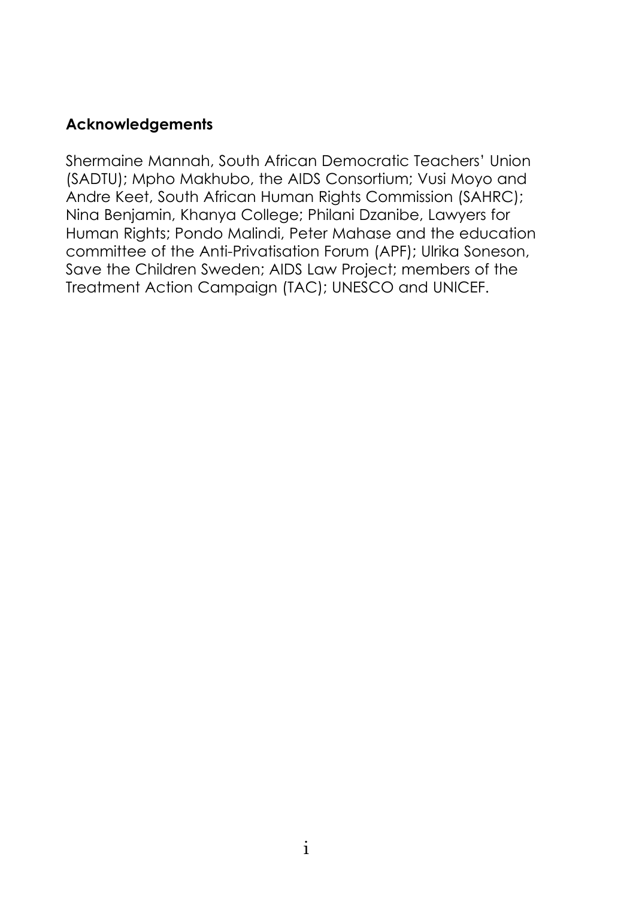#### **Acknowledgements**

Shermaine Mannah, South African Democratic Teachers' Union (SADTU); Mpho Makhubo, the AIDS Consortium; Vusi Moyo and Andre Keet, South African Human Rights Commission (SAHRC); Nina Benjamin, Khanya College; Philani Dzanibe, Lawyers for Human Rights; Pondo Malindi, Peter Mahase and the education committee of the Anti-Privatisation Forum (APF); Ulrika Soneson, Save the Children Sweden; AIDS Law Project; members of the Treatment Action Campaign (TAC); UNESCO and UNICEF.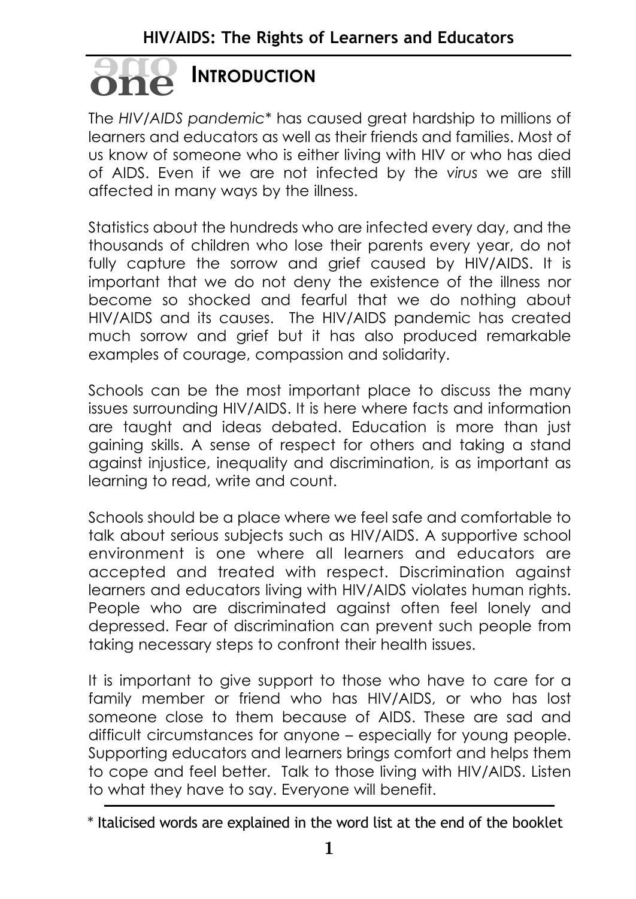#### **INTRODUCTION oneone**

The *HIV/AIDS pandemic\** has caused great hardship to millions of learners and educators as well as their friends and families. Most of us know of someone who is either living with HIV or who has died of AIDS. Even if we are not infected by the *virus* we are still affected in many ways by the illness.

Statistics about the hundreds who are infected every day, and the thousands of children who lose their parents every year, do not fully capture the sorrow and grief caused by HIV/AIDS. It is important that we do not deny the existence of the illness nor become so shocked and fearful that we do nothing about HIV/AIDS and its causes. The HIV/AIDS pandemic has created much sorrow and grief but it has also produced remarkable examples of courage, compassion and solidarity.

Schools can be the most important place to discuss the many issues surrounding HIV/AIDS. It is here where facts and information are taught and ideas debated. Education is more than just gaining skills. A sense of respect for others and taking a stand against injustice, inequality and discrimination, is as important as learning to read, write and count.

Schools should be a place where we feel safe and comfortable to talk about serious subjects such as HIV/AIDS. A supportive school environment is one where all learners and educators are accepted and treated with respect. Discrimination against learners and educators living with HIV/AIDS violates human rights. People who are discriminated against often feel lonely and depressed. Fear of discrimination can prevent such people from taking necessary steps to confront their health issues.

It is important to give support to those who have to care for a family member or friend who has HIV/AIDS, or who has lost someone close to them because of AIDS. These are sad and difficult circumstances for anyone – especially for young people. Supporting educators and learners brings comfort and helps them to cope and feel better. Talk to those living with HIV/AIDS. Listen to what they have to say. Everyone will benefit.

<sup>\*</sup> Italicised words are explained in the word list at the end of the booklet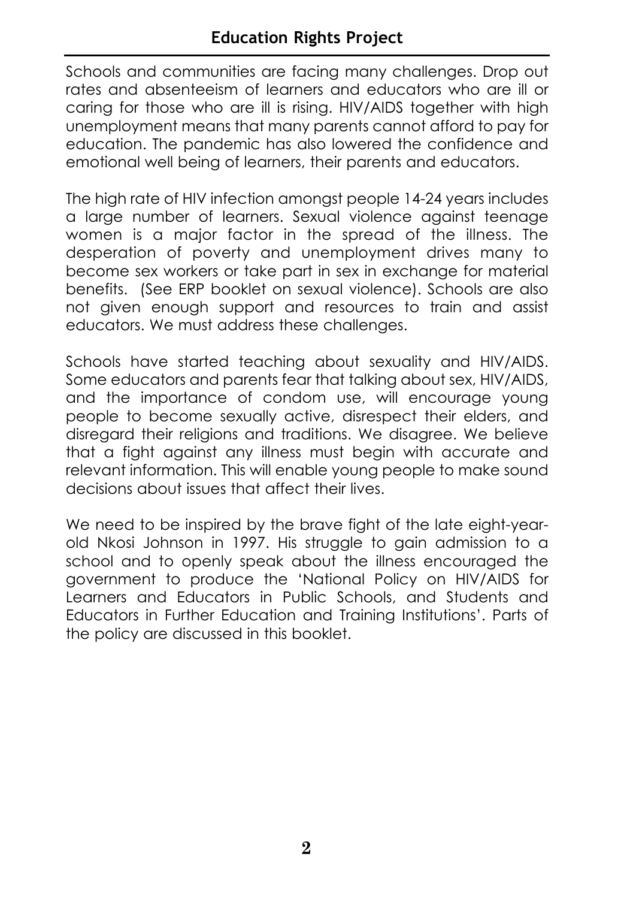Schools and communities are facing many challenges. Drop out rates and absenteeism of learners and educators who are ill or caring for those who are ill is rising. HIV/AIDS together with high unemployment means that many parents cannot afford to pay for education. The pandemic has also lowered the confidence and emotional well being of learners, their parents and educators.

The high rate of HIV infection amongst people 14-24 years includes a large number of learners. Sexual violence against teenage women is a major factor in the spread of the illness. The desperation of poverty and unemployment drives many to become sex workers or take part in sex in exchange for material benefits. (See ERP booklet on sexual violence). Schools are also not given enough support and resources to train and assist educators. We must address these challenges.

Schools have started teaching about sexuality and HIV/AIDS. Some educators and parents fear that talking about sex, HIV/AIDS, and the importance of condom use, will encourage young people to become sexually active, disrespect their elders, and disregard their religions and traditions. We disagree. We believe that a fight against any illness must begin with accurate and relevant information. This will enable young people to make sound decisions about issues that affect their lives.

We need to be inspired by the brave fight of the late eight-yearold Nkosi Johnson in 1997. His struggle to gain admission to a school and to openly speak about the illness encouraged the government to produce the 'National Policy on HIV/AIDS for Learners and Educators in Public Schools, and Students and Educators in Further Education and Training Institutions'. Parts of the policy are discussed in this booklet.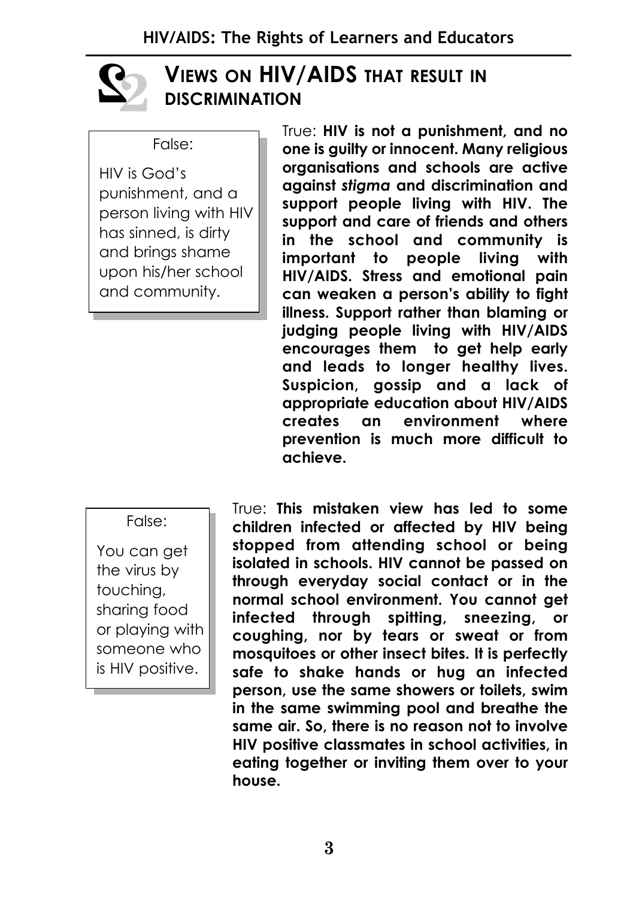

#### **VIEWS ON HIV/AIDS THAT RESULT IN DISCRIMINATION**

False:

HIV is God's punishment, and a person living with HIV has sinned, is dirty and brings shame upon his/her school and community.

True: **HIV is not a punishment, and no one is guilty or innocent. Many religious organisations and schools are active against** *stigma* **and discrimination and support people living with HIV. The support and care of friends and others in the school and community is important to people living with HIV/AIDS. Stress and emotional pain can weaken a person's ability to fight illness. Support rather than blaming or judging people living with HIV/AIDS encourages them to get help early and leads to longer healthy lives. Suspicion, gossip and a lack of appropriate education about HIV/AIDS creates an environment where prevention is much more difficult to achieve.**

False:

You can get the virus by touching, sharing food or playing with someone who is HIV positive.

True: **This mistaken view has led to some children infected or affected by HIV being stopped from attending school or being isolated in schools. HIV cannot be passed on through everyday social contact or in the normal school environment. You cannot get infected through spitting, sneezing, or coughing, nor by tears or sweat or from mosquitoes or other insect bites. It is perfectly safe to shake hands or hug an infected person, use the same showers or toilets, swim in the same swimming pool and breathe the same air. So, there is no reason not to involve HIV positive classmates in school activities, in eating together or inviting them over to your house.**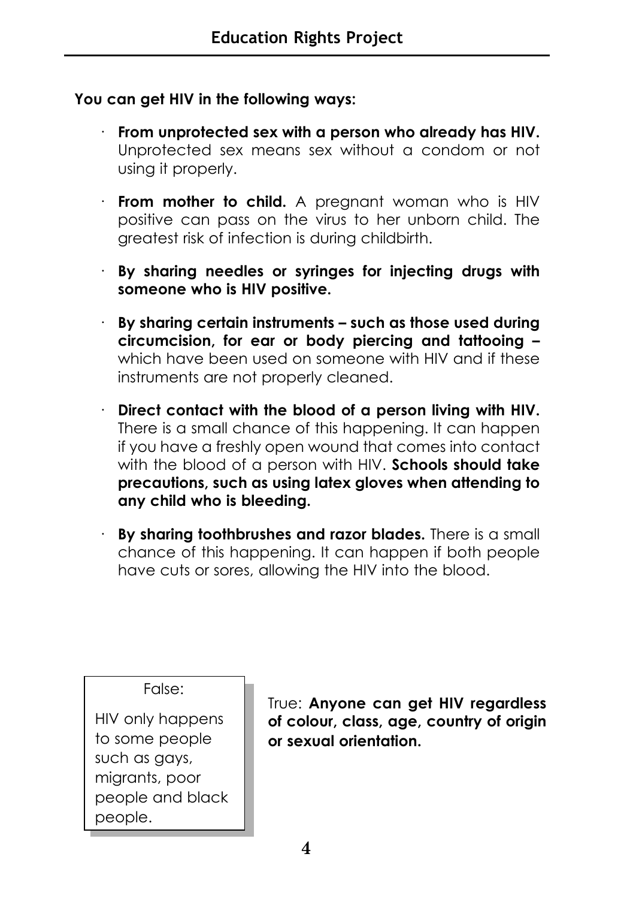#### **You can get HIV in the following ways:**

- · **From unprotected sex with a person who already has HIV.** Unprotected sex means sex without a condom or not using it properly.
- **From mother to child.** A pregnant woman who is HIV positive can pass on the virus to her unborn child. The greatest risk of infection is during childbirth.
- · **By sharing needles or syringes for injecting drugs with someone who is HIV positive.**
- · **By sharing certain instruments such as those used during circumcision, for ear or body piercing and tattooing –** which have been used on someone with HIV and if these instruments are not properly cleaned.
- · **Direct contact with the blood of a person living with HIV.** There is a small chance of this happening. It can happen if you have a freshly open wound that comes into contact with the blood of a person with HIV. **Schools should take precautions, such as using latex gloves when attending to any child who is bleeding.**
- · **By sharing toothbrushes and razor blades.** There is a small chance of this happening. It can happen if both people have cuts or sores, allowing the HIV into the blood.

False:

HIV only happens to some people such as gays, migrants, poor people and black people.

True: **Anyone can get HIV regardless of colour, class, age, country of origin or sexual orientation.**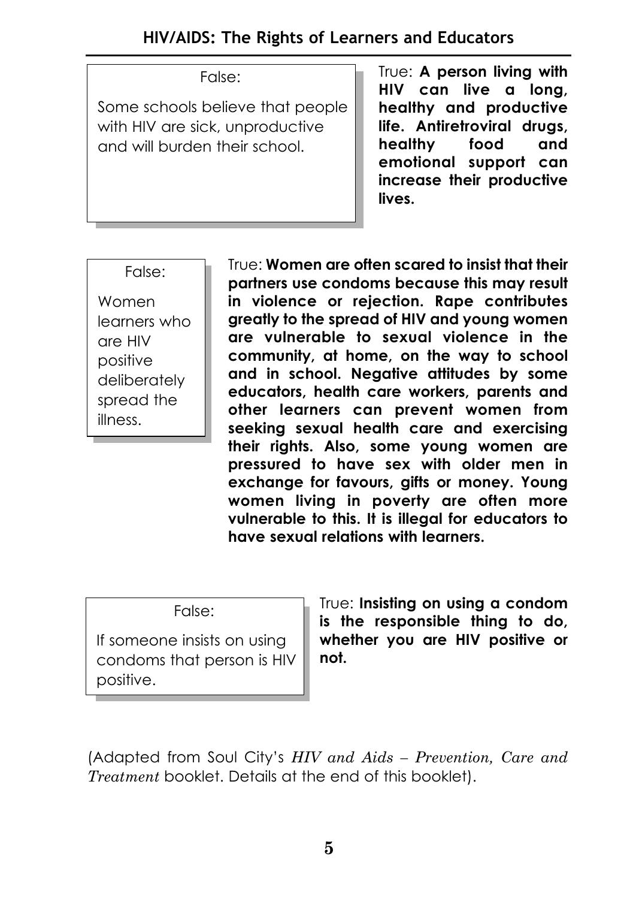#### **HIV/AIDS: The Rights of Learners and Educators**

#### False:

Some schools believe that people with HIV are sick, unproductive and will burden their school.

True: **A person living with HIV can live a long, healthy and productive life. Antiretroviral drugs, healthy food and emotional support can increase their productive lives.** 

False: Women learners who are HIV positive deliberately spread the illness.

True: **Women are often scared to insist that their partners use condoms because this may result in violence or rejection. Rape contributes greatly to the spread of HIV and young women are vulnerable to sexual violence in the community, at home, on the way to school and in school. Negative attitudes by some educators, health care workers, parents and other learners can prevent women from seeking sexual health care and exercising their rights. Also, some young women are pressured to have sex with older men in exchange for favours, gifts or money. Young women living in poverty are often more vulnerable to this. It is illegal for educators to have sexual relations with learners.**

False:

If someone insists on using condoms that person is HIV positive.

True: **Insisting on using a condom is the responsible thing to do, whether you are HIV positive or not.** 

(Adapted from Soul City's *HIV and Aids – Prevention, Care and Treatment* booklet. Details at the end of this booklet).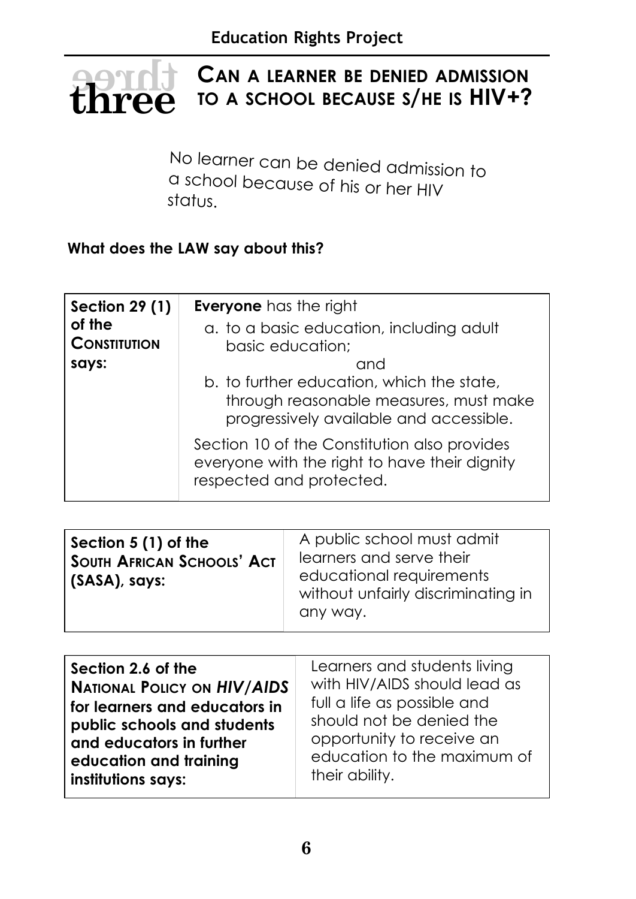#### **CAN A LEARNER BE DENIED ADMISSION TO A SCHOOL BECAUSE S/HE IS HIV+? there**

No learner can be denied admission to a school because of his or her HIV status.

#### **What does the LAW say about this?**

| <b>Section 29 (1)</b> | <b>Everyone</b> has the right                                                                                             |
|-----------------------|---------------------------------------------------------------------------------------------------------------------------|
| of the                | a. to a basic education, including adult                                                                                  |
| <b>CONSTITUTION</b>   | basic education;                                                                                                          |
| says:                 | and                                                                                                                       |
|                       | b. to further education, which the state,                                                                                 |
|                       | through reasonable measures, must make<br>progressively available and accessible.                                         |
|                       | Section 10 of the Constitution also provides<br>everyone with the right to have their dignity<br>respected and protected. |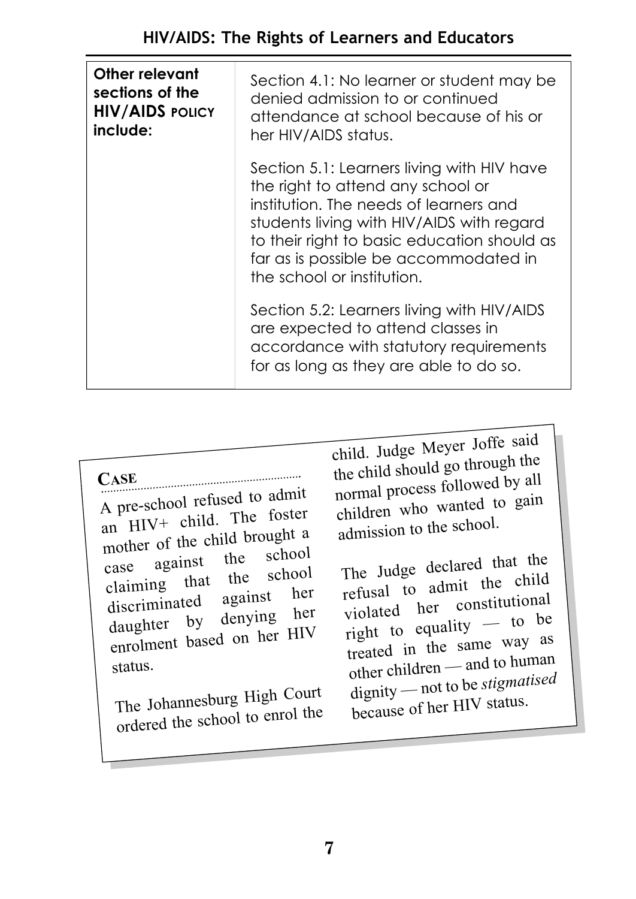| Other relevant<br>sections of the<br><b>HIV/AIDS POLICY</b><br>include: | Section 4.1: No learner or student may be<br>denied admission to or continued<br>attendance at school because of his or<br>her HIV/AIDS status.                                                                                                                                              |
|-------------------------------------------------------------------------|----------------------------------------------------------------------------------------------------------------------------------------------------------------------------------------------------------------------------------------------------------------------------------------------|
|                                                                         | Section 5.1: Learners living with HIV have<br>the right to attend any school or<br>institution. The needs of learners and<br>students living with HIV/AIDS with regard<br>to their right to basic education should as<br>far as is possible be accommodated in<br>the school or institution. |
|                                                                         | Section 5.2: Learners living with HIV/AIDS<br>are expected to attend classes in<br>accordance with statutory requirements<br>for as long as they are able to do so.                                                                                                                          |

**CASE**

<sup>A</sup> pre-school refused to admit an HIV+ child. The foster mother of the child brought a case against the school claiming that the school discriminated against her<br>daughter by denying her daughter by denying her enrolment based on her HIV status.

The Johannesburg High Court ordered the school to enrol the

child. Judge Meyer Joffe said the child should go through the normal process followed by all children who wanted to gain admission to the school.

The Judge declared that the refusal to admit the child violated her constitutional right to equality — to be treated in the same way as other children — and to human dignity — not to be *stigmatised* because of her HIV status.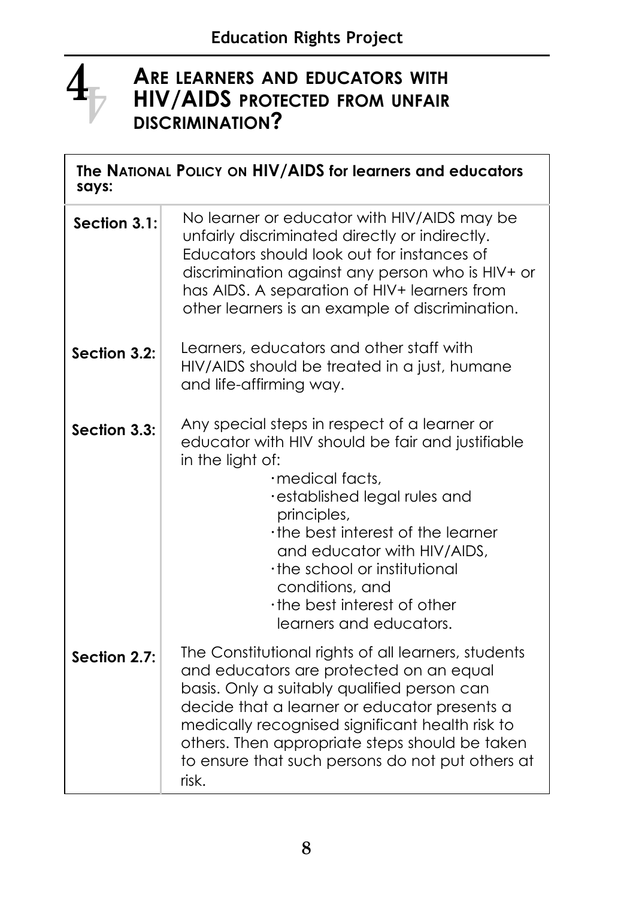

#### **ARE LEARNERS AND EDUCATORS WITH HIV/AIDS PROTECTED FROM UNFAIR DISCRIMINATION?**

| The NATIONAL POLICY ON HIV/AIDS for learners and educators<br>says: |                                                                                                                                                                                                                                                                                                                                                                      |  |
|---------------------------------------------------------------------|----------------------------------------------------------------------------------------------------------------------------------------------------------------------------------------------------------------------------------------------------------------------------------------------------------------------------------------------------------------------|--|
| Section 3.1:                                                        | No learner or educator with HIV/AIDS may be<br>unfairly discriminated directly or indirectly.<br>Educators should look out for instances of<br>discrimination against any person who is HIV+ or<br>has AIDS. A separation of HIV+ learners from<br>other learners is an example of discrimination.                                                                   |  |
| Section 3.2:                                                        | Learners, educators and other staff with<br>HIV/AIDS should be treated in a just, humane<br>and life-affirming way.                                                                                                                                                                                                                                                  |  |
| Section 3.3:                                                        | Any special steps in respect of a learner or<br>educator with HIV should be fair and justifiable<br>in the light of:<br>·medical facts,<br>·established legal rules and<br>principles,<br>the best interest of the learner<br>and educator with HIV/AIDS,<br>the school or institutional<br>conditions, and<br>the best interest of other<br>learners and educators. |  |
| Section 2.7:                                                        | The Constitutional rights of all learners, students<br>and educators are protected on an equal<br>basis. Only a suitably qualified person can<br>decide that a learner or educator presents a<br>medically recognised significant health risk to<br>others. Then appropriate steps should be taken<br>to ensure that such persons do not put others at<br>risk.      |  |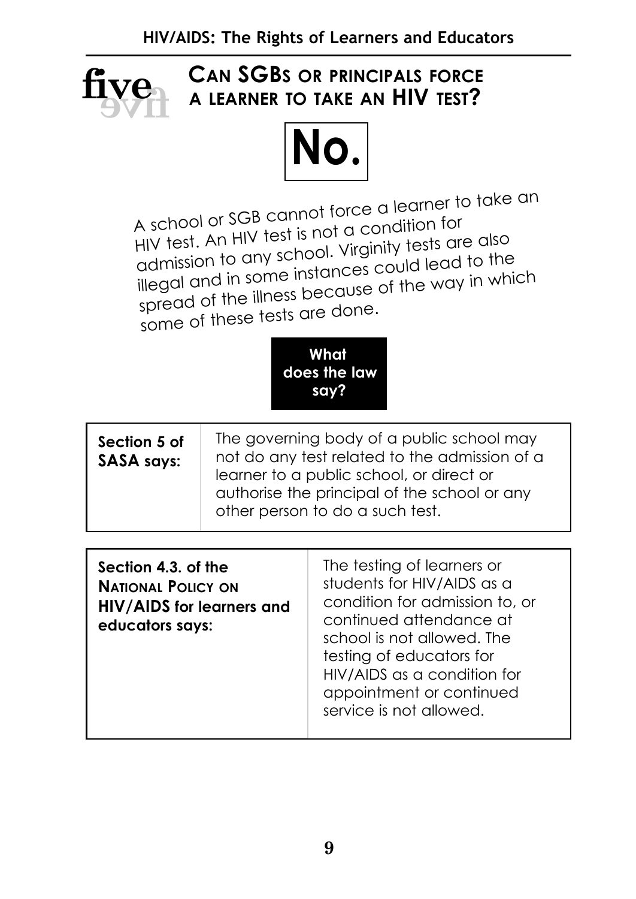

#### **CAN SGBS OR PRINCIPALS FORCE A LEARNER TO TAKE AN HIV TEST?**



A school or SGB cannot force a learner to take an HIV test. An HIV test is not a condition for admission to any school. Virginity tests are also illegal and in some instances could lead to the spread of the illness because of the way in which some of these tests are done.



| The governing body of a public school may<br>Section 5 of<br>not do any test related to the admission of a<br><b>SASA says:</b><br>learner to a public school, or direct or<br>authorise the principal of the school or any<br>other person to do a such test. |  |
|----------------------------------------------------------------------------------------------------------------------------------------------------------------------------------------------------------------------------------------------------------------|--|
|----------------------------------------------------------------------------------------------------------------------------------------------------------------------------------------------------------------------------------------------------------------|--|

| Section 4.3. of the<br><b>NATIONAL POLICY ON</b><br>HIV/AIDS for learners and<br>educators says: | The testing of learners or<br>students for HIV/AIDS as a<br>condition for admission to, or<br>continued attendance at<br>school is not allowed. The<br>testing of educators for<br>HIV/AIDS as a condition for<br>appointment or continued<br>service is not allowed. |
|--------------------------------------------------------------------------------------------------|-----------------------------------------------------------------------------------------------------------------------------------------------------------------------------------------------------------------------------------------------------------------------|
|--------------------------------------------------------------------------------------------------|-----------------------------------------------------------------------------------------------------------------------------------------------------------------------------------------------------------------------------------------------------------------------|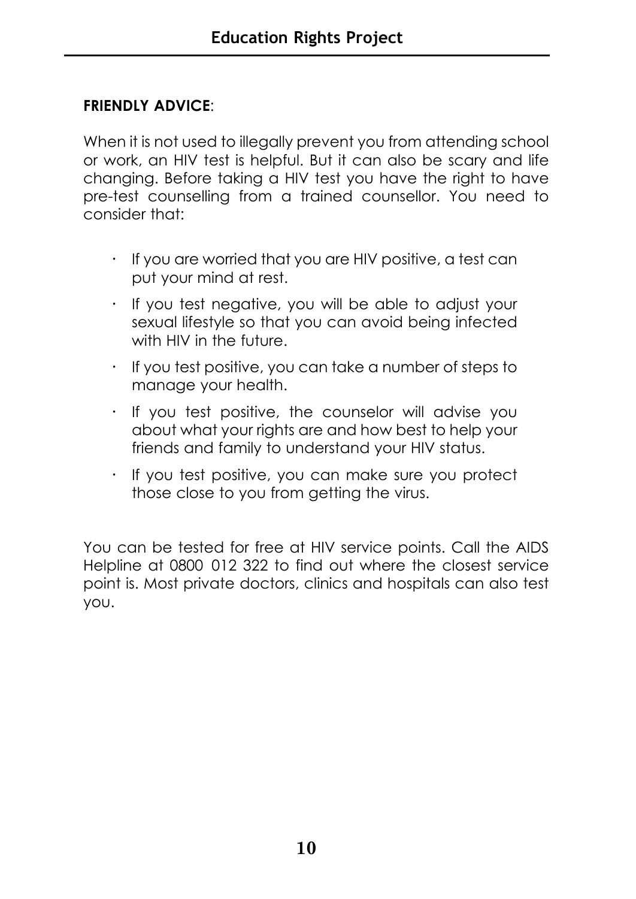#### **FRIENDLY ADVICE**:

When it is not used to illegally prevent you from attending school or work, an HIV test is helpful. But it can also be scary and life changing. Before taking a HIV test you have the right to have pre-test counselling from a trained counsellor. You need to consider that:

- **·** If you are worried that you are HIV positive, a test can put your mind at rest.
- **·** If you test negative, you will be able to adjust your sexual lifestyle so that you can avoid being infected with HIV in the future.
- **·** If you test positive, you can take a number of steps to manage your health.
- **·** If you test positive, the counselor will advise you about what your rights are and how best to help your friends and family to understand your HIV status.
- **·** If you test positive, you can make sure you protect those close to you from getting the virus.

You can be tested for free at HIV service points. Call the AIDS Helpline at 0800 012 322 to find out where the closest service point is. Most private doctors, clinics and hospitals can also test you.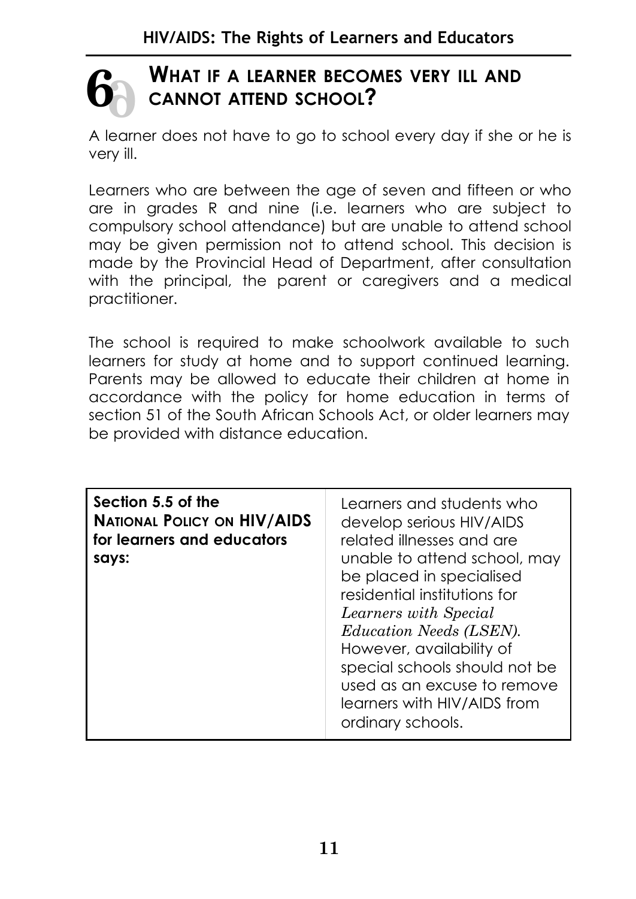# **6 6**

#### **WHAT IF A LEARNER BECOMES VERY ILL AND CANNOT ATTEND SCHOOL?**

A learner does not have to go to school every day if she or he is very ill.

Learners who are between the age of seven and fifteen or who are in grades R and nine (i.e. learners who are subject to compulsory school attendance) but are unable to attend school may be given permission not to attend school. This decision is made by the Provincial Head of Department, after consultation with the principal, the parent or caregivers and a medical practitioner.

The school is required to make schoolwork available to such learners for study at home and to support continued learning. Parents may be allowed to educate their children at home in accordance with the policy for home education in terms of section 51 of the South African Schools Act, or older learners may be provided with distance education.

| Section 5.5 of the<br><b>NATIONAL POLICY ON HIV/AIDS</b><br>for learners and educators<br>says: | Learners and students who<br>develop serious HIV/AIDS<br>related illnesses and are<br>unable to attend school, may<br>be placed in specialised<br>residential institutions for<br>Learners with Special<br><i>Education Needs (LSEN).</i><br>However, availability of<br>special schools should not be<br>used as an excuse to remove<br>learners with HIV/AIDS from<br>ordinary schools. |
|-------------------------------------------------------------------------------------------------|-------------------------------------------------------------------------------------------------------------------------------------------------------------------------------------------------------------------------------------------------------------------------------------------------------------------------------------------------------------------------------------------|
|                                                                                                 |                                                                                                                                                                                                                                                                                                                                                                                           |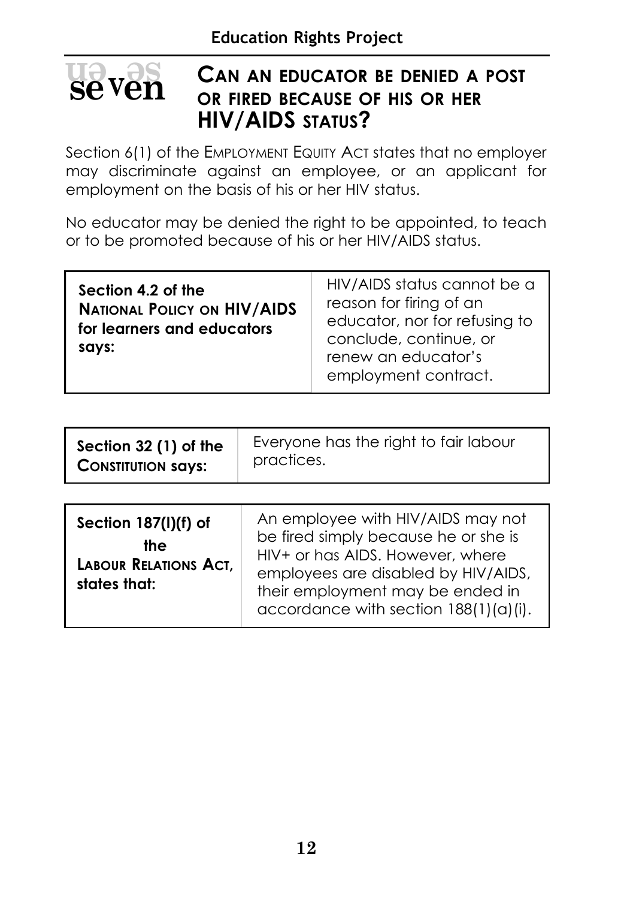#### **CAN AN EDUCATOR BE DENIED A POST OR FIRED BECAUSE OF HIS OR HER HIV/AIDS STATUS? en <sup>v</sup> se sevven**

Section 6(1) of the EMPLOYMENT EQUITY ACT states that no employer may discriminate against an employee, or an applicant for employment on the basis of his or her HIV status.

No educator may be denied the right to be appointed, to teach or to be promoted because of his or her HIV/AIDS status.

| Section 4.2 of the<br><b>NATIONAL POLICY ON HIV/AIDS</b><br>for learners and educators<br>says: | HIV/AIDS status cannot be a<br>reason for firing of an<br>educator, nor for refusing to<br>conclude, continue, or<br>renew an educator's<br>employment contract. |
|-------------------------------------------------------------------------------------------------|------------------------------------------------------------------------------------------------------------------------------------------------------------------|
|-------------------------------------------------------------------------------------------------|------------------------------------------------------------------------------------------------------------------------------------------------------------------|

| Section 32 (1) of the     | Everyone has the right to fair labour |
|---------------------------|---------------------------------------|
| <b>CONSTITUTION SAYS:</b> | practices.                            |

| Section 187(I)(f) of<br>the<br><b>LABOUR RELATIONS ACT,</b><br>states that: | An employee with HIV/AIDS may not<br>be fired simply because he or she is<br>HIV+ or has AIDS. However, where<br>employees are disabled by HIV/AIDS,<br>their employment may be ended in<br>accordance with section 188(1)(a)(i). |
|-----------------------------------------------------------------------------|-----------------------------------------------------------------------------------------------------------------------------------------------------------------------------------------------------------------------------------|
|-----------------------------------------------------------------------------|-----------------------------------------------------------------------------------------------------------------------------------------------------------------------------------------------------------------------------------|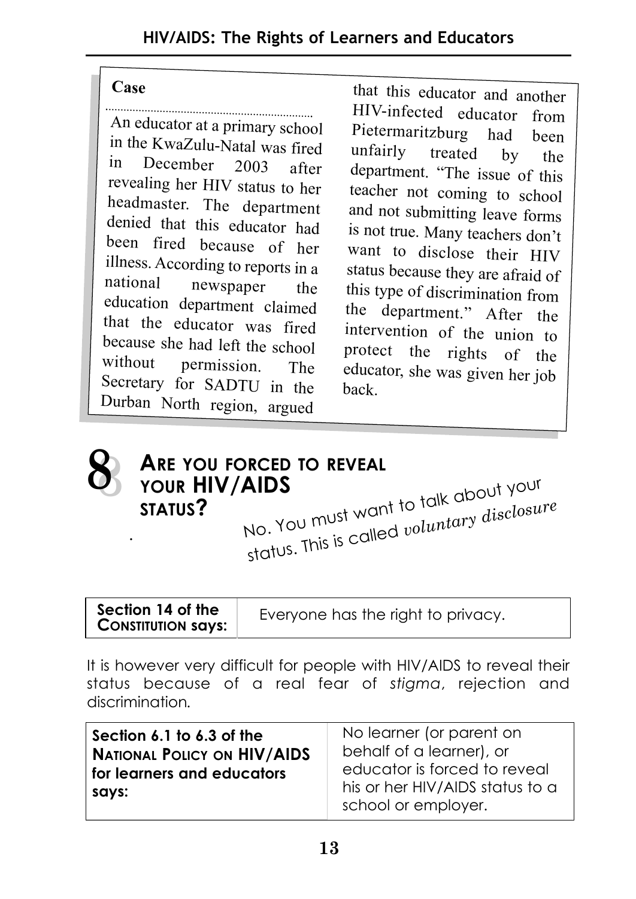#### **Case**

An educator at a primary school in the KwaZulu-Natal was fired December 2003 after revealing her HIV status to her headmaster. The department denied that this educator had been fired because of her illness. According to reports in a<br>national pewspaper the newspaper the education department claimed that the educator was fired because she had left the school<br>without nermission The permission. The Secretary for SADTU in the Durban North region, argued

that this educator and another HIV-infected educator from Pietermaritzburg had been<br>unfairly treated by the treated by the department. "The issue of this teacher not coming to school and not submitting leave forms is not true. Many teachers don't want to disclose their HIV status because they are afraid of this type of discrimination from the department." After the intervention of the union to protect the rights of the educator, she was given her job back.



#### **ARE YOU FORCED TO REVEAL YOUR HIV/AIDS STATUS?** . No. You must want to talk about your status. This is called *voluntary disclosure*

| Section 14 of the         |  |
|---------------------------|--|
| <b>CONSTITUTION SAYS:</b> |  |

Everyone has the right to privacy.

It is however very difficult for people with HIV/AIDS to reveal their status because of a real fear of *stigma*, rejection and discrimination*.* 

| Section 6.1 to 6.3 of the<br><b>NATIONAL POLICY ON HIV/AIDS</b> | No learner (or parent on<br>behalf of a learner), or |
|-----------------------------------------------------------------|------------------------------------------------------|
| for learners and educators                                      | educator is forced to reveal                         |
| says:                                                           | his or her HIV/AIDS status to a                      |
|                                                                 | school or employer.                                  |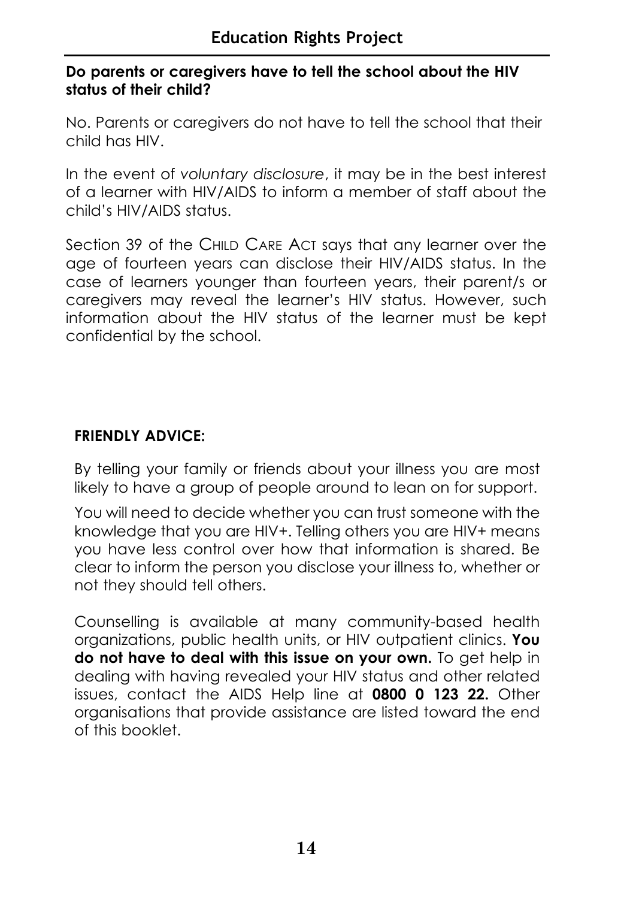#### **Do parents or caregivers have to tell the school about the HIV status of their child?**

No. Parents or caregivers do not have to tell the school that their child has HIV.

In the event of *voluntary disclosure*, it may be in the best interest of a learner with HIV/AIDS to inform a member of staff about the child's HIV/AIDS status.

Section 39 of the CHILD CARE ACT says that any learner over the age of fourteen years can disclose their HIV/AIDS status. In the case of learners younger than fourteen years, their parent/s or caregivers may reveal the learner's HIV status. However, such information about the HIV status of the learner must be kept confidential by the school.

#### **FRIENDLY ADVICE:**

By telling your family or friends about your illness you are most likely to have a group of people around to lean on for support.

You will need to decide whether you can trust someone with the knowledge that you are HIV+. Telling others you are HIV+ means you have less control over how that information is shared. Be clear to inform the person you disclose your illness to, whether or not they should tell others.

Counselling is available at many community-based health organizations, public health units, or HIV outpatient clinics. **You do not have to deal with this issue on your own.** To get help in dealing with having revealed your HIV status and other related issues, contact the AIDS Help line at **0800 0 123 22.** Other organisations that provide assistance are listed toward the end of this booklet.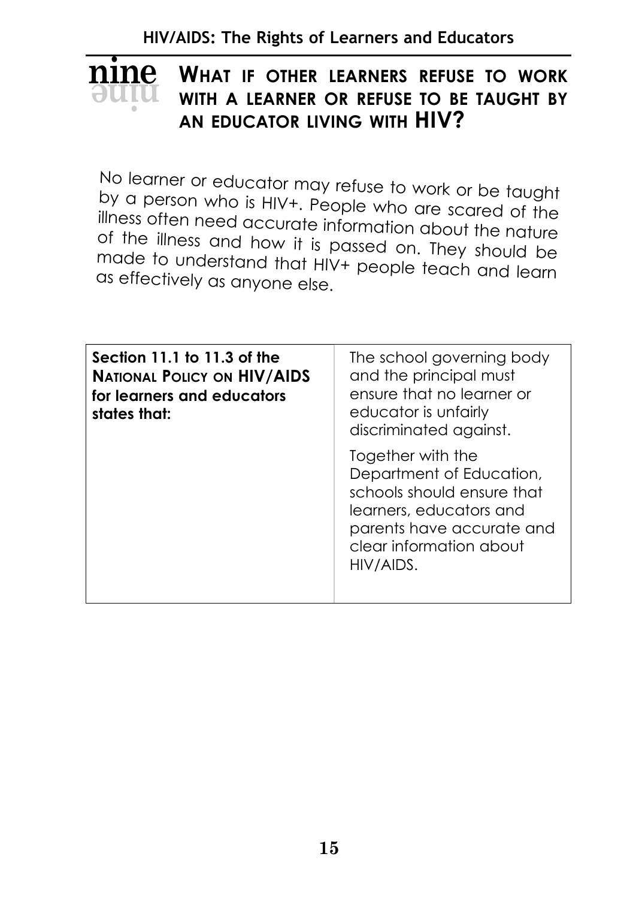**HIV/AIDS: The Rights of Learners and Educators**

#### **WHAT IF OTHER LEARNERS REFUSE TO WORK WITH A LEARNER OR REFUSE TO BE TAUGHT BY AN EDUCATOR LIVING WITH HIV? ninenine**

No learner or educator may refuse to work or be taught by a person who is HIV+. People who are scared of the illness often need accurate information about the nature of the illness and how it is passed on. They should be made to understand that HIV+ people teach and learn as effectively as anyone else.

| Section 11.1 to 11.3 of the<br><b>NATIONAL POLICY ON HIV/AIDS</b><br>for learners and educators<br>states that: | The school governing body<br>and the principal must<br>ensure that no learner or<br>educator is unfairly<br>discriminated against.                                          |
|-----------------------------------------------------------------------------------------------------------------|-----------------------------------------------------------------------------------------------------------------------------------------------------------------------------|
|                                                                                                                 | Together with the<br>Department of Education,<br>schools should ensure that<br>learners, educators and<br>parents have accurate and<br>clear information about<br>HIV/AIDS. |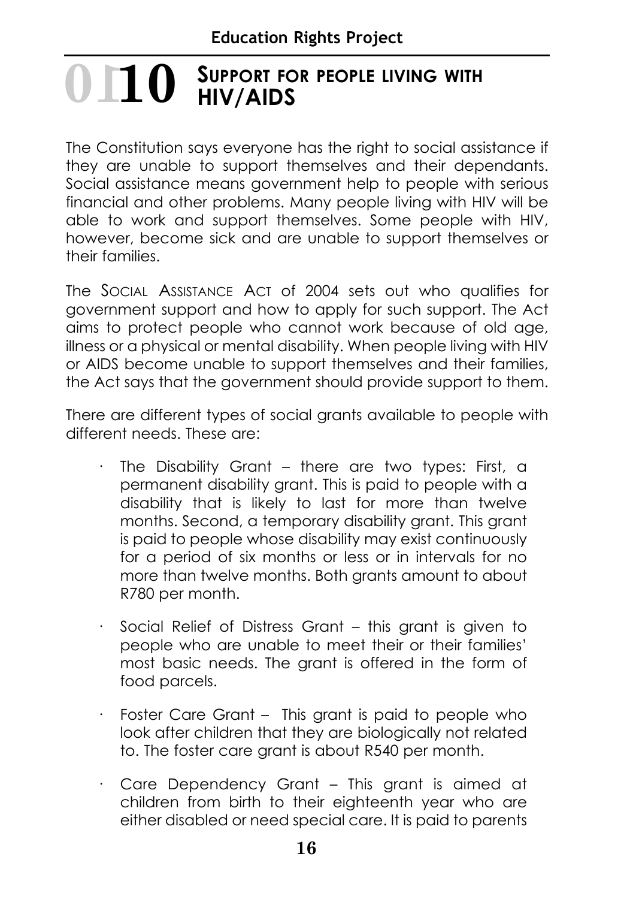#### **SUPPORT FOR PEOPLE LIVING WITH HIV/AIDS 1010**

The Constitution says everyone has the right to social assistance if they are unable to support themselves and their dependants. Social assistance means government help to people with serious financial and other problems. Many people living with HIV will be able to work and support themselves. Some people with HIV, however, become sick and are unable to support themselves or their families.

The SOCIAL ASSISTANCE ACT of 2004 sets out who qualifies for government support and how to apply for such support. The Act aims to protect people who cannot work because of old age, illness or a physical or mental disability. When people living with HIV or AIDS become unable to support themselves and their families, the Act says that the government should provide support to them.

There are different types of social grants available to people with different needs. These are:

- The Disability Grant there are two types: First, a permanent disability grant. This is paid to people with a disability that is likely to last for more than twelve months. Second, a temporary disability grant. This grant is paid to people whose disability may exist continuously for a period of six months or less or in intervals for no more than twelve months. Both grants amount to about R780 per month.
- Social Relief of Distress Grant this grant is given to people who are unable to meet their or their families' most basic needs. The grant is offered in the form of food parcels.
- · Foster Care Grant This grant is paid to people who look after children that they are biologically not related to. The foster care grant is about R540 per month.
- · Care Dependency Grant This grant is aimed at children from birth to their eighteenth year who are either disabled or need special care. It is paid to parents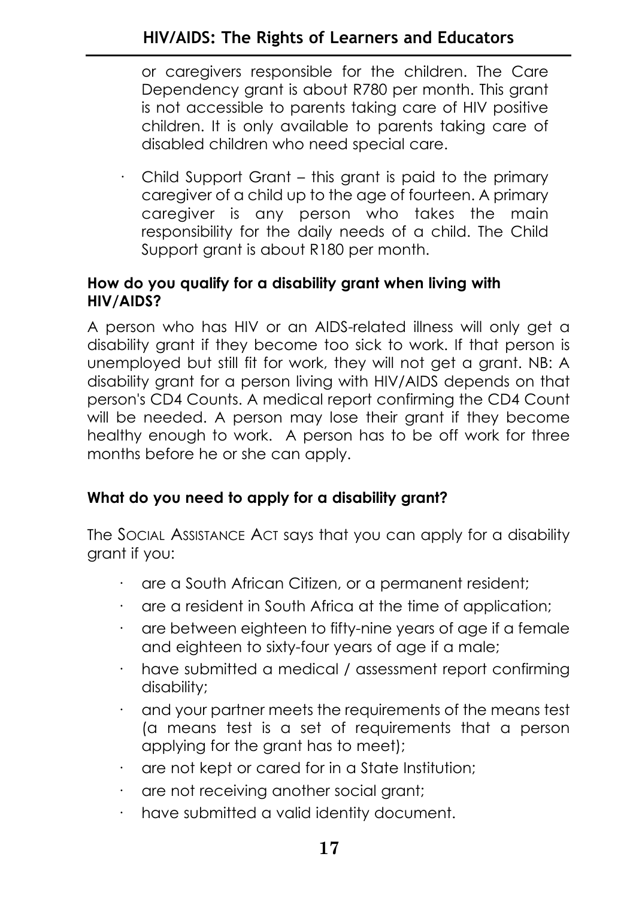or caregivers responsible for the children. The Care Dependency grant is about R780 per month. This grant is not accessible to parents taking care of HIV positive children. It is only available to parents taking care of disabled children who need special care.

· Child Support Grant – this grant is paid to the primary caregiver of a child up to the age of fourteen. A primary caregiver is any person who takes the main responsibility for the daily needs of a child. The Child Support grant is about R180 per month.

#### **How do you qualify for a disability grant when living with HIV/AIDS?**

A person who has HIV or an AIDS-related illness will only get a disability grant if they become too sick to work. If that person is unemployed but still fit for work, they will not get a grant. NB: A disability grant for a person living with HIV/AIDS depends on that person's CD4 Counts. A medical report confirming the CD4 Count will be needed. A person may lose their grant if they become healthy enough to work. A person has to be off work for three months before he or she can apply.

#### **What do you need to apply for a disability grant?**

The SOCIAL ASSISTANCE ACT says that you can apply for a disability grant if you:

- · are a South African Citizen, or a permanent resident;
- are a resident in South Africa at the time of application;
- · are between eighteen to fifty-nine years of age if a female and eighteen to sixty-four years of age if a male;
- have submitted a medical / assessment report confirming disability;
- and your partner meets the requirements of the means test (a means test is a set of requirements that a person applying for the grant has to meet);
- · are not kept or cared for in a State Institution;
- · are not receiving another social grant;
- · have submitted a valid identity document.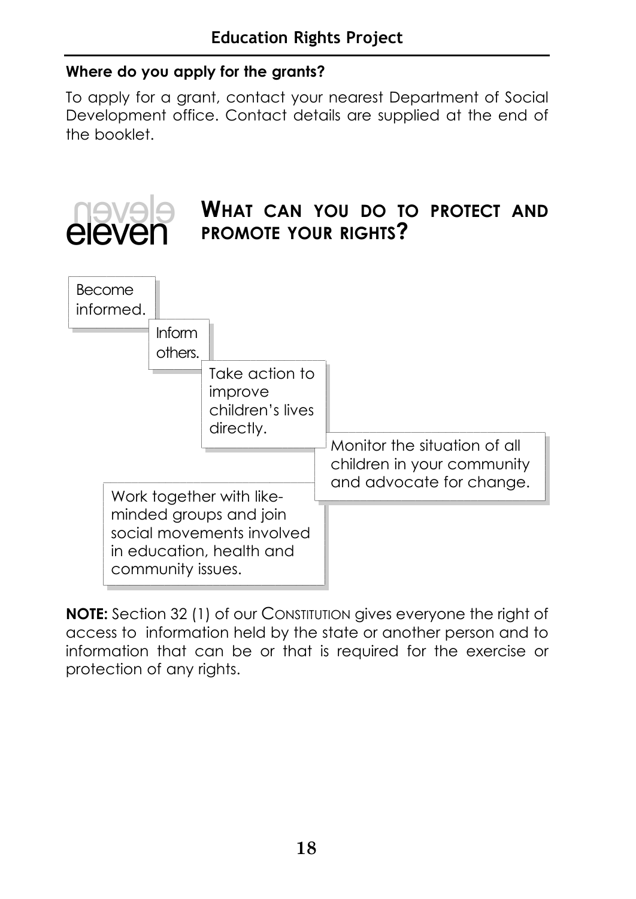#### **Where do you apply for the grants?**

To apply for a grant, contact your nearest Department of Social Development office. Contact details are supplied at the end of the booklet.



**NOTE:** Section 32 (1) of our CONSTITUTION gives everyone the right of access to information held by the state or another person and to information that can be or that is required for the exercise or protection of any rights.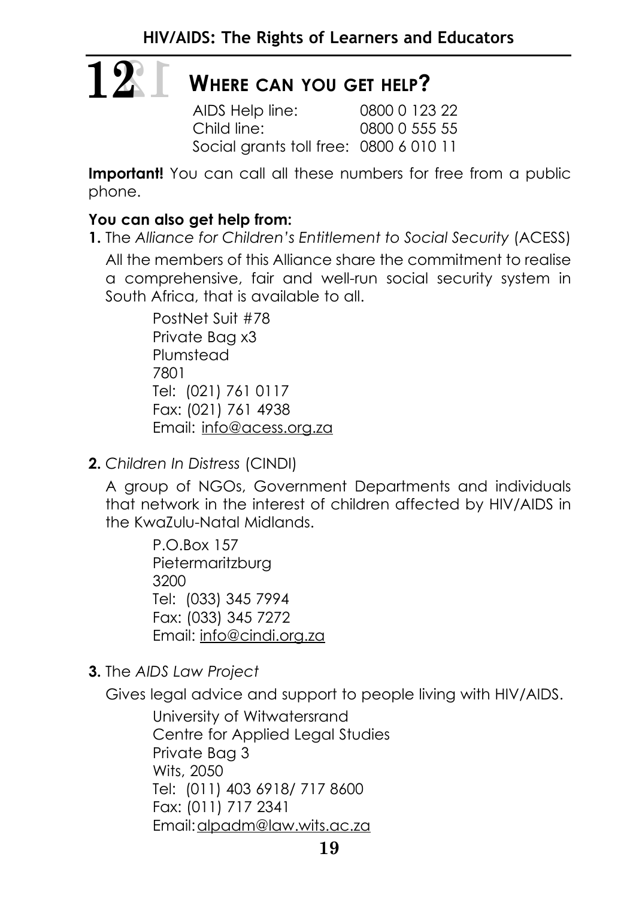# **12 12**

#### **WHERE CAN YOU GET HELP?**

AIDS Help line: 0800 0 123 22 Child line: 0800 0 555 55 Social grants toll free: 0800 6 010 11

**Important!** You can call all these numbers for free from a public phone.

#### **You can also get help from:**

**1.** The *Alliance for Children's Entitlement to Social Security* (ACESS) All the members of this Alliance share the commitment to realise a comprehensive, fair and well-run social security system in South Africa, that is available to all.

> PostNet Suit #78 Private Bag x3 Plumstead 7801 Tel: (021) 761 0117 Fax: (021) 761 4938 Email: info@acess.org.za

**2.** *Children In Distress* (CINDI)

A group of NGOs, Government Departments and individuals that network in the interest of children affected by HIV/AIDS in the KwaZulu-Natal Midlands.

> P.O.Box 157 Pietermaritzburg 3200 Tel: (033) 345 7994 Fax: (033) 345 7272 Email: info@cindi.org.za

**3.** The *AIDS Law Project*

Gives legal advice and support to people living with HIV/AIDS.

University of Witwatersrand Centre for Applied Legal Studies Private Bag 3 Wits, 2050 Tel: (011) 403 6918/ 717 8600 Fax: (011) 717 2341 Email:alpadm@law.wits.ac.za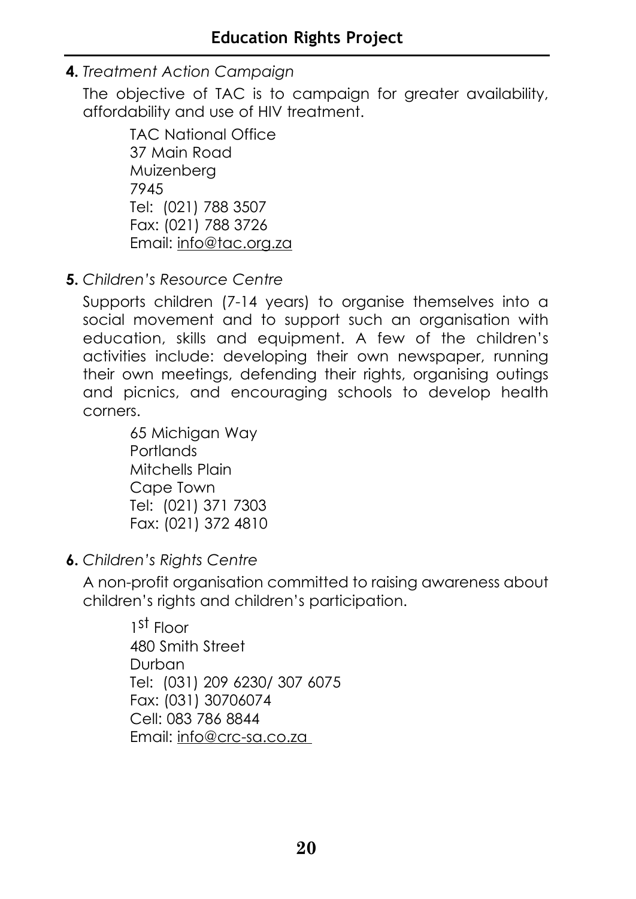**4.** *Treatment Action Campaign*

The objective of TAC is to campaign for greater availability, affordability and use of HIV treatment.

> TAC National Office 37 Main Road Muizenberg 7945 Tel: (021) 788 3507 Fax: (021) 788 3726 Email: info@tac.org.za

**5.** *Children's Resource Centre*

Supports children (7-14 years) to organise themselves into a social movement and to support such an organisation with education, skills and equipment. A few of the children's activities include: developing their own newspaper, running their own meetings, defending their rights, organising outings and picnics, and encouraging schools to develop health corners.

> 65 Michigan Way **Portlands** Mitchells Plain Cape Town Tel: (021) 371 7303 Fax: (021) 372 4810

**6.** *Children's Rights Centre*

A non-profit organisation committed to raising awareness about children's rights and children's participation.

> $1<sup>st</sup>$  Floor 480 Smith Street Durban Tel: (031) 209 6230/ 307 6075 Fax: (031) 30706074 Cell: 083 786 8844 Email: info@crc-sa.co.za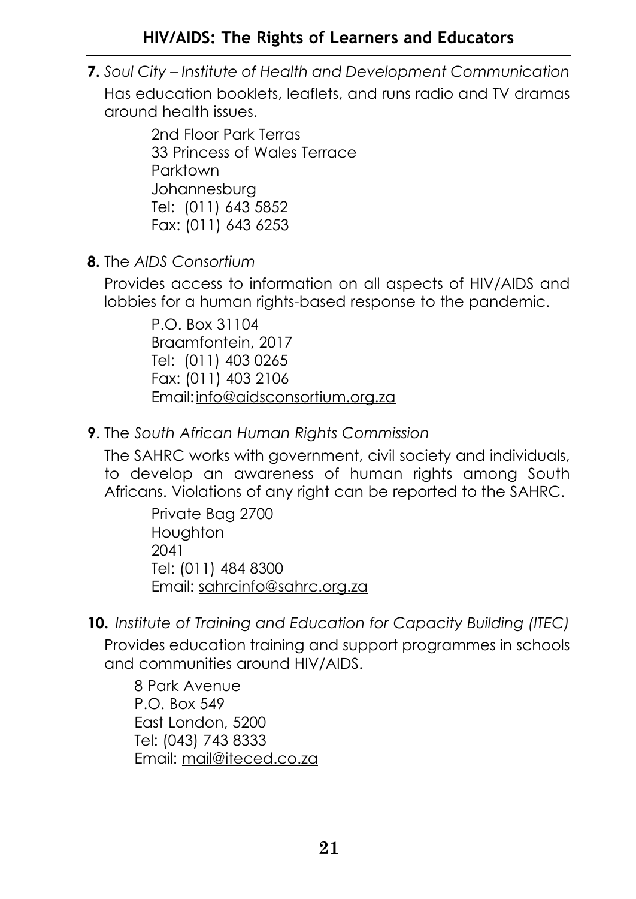#### **HIV/AIDS: The Rights of Learners and Educators**

**7.** *Soul City – Institute of Health and Development Communication* Has education booklets, leaflets, and runs radio and TV dramas around health issues.

> 2nd Floor Park Terras 33 Princess of Wales Terrace Parktown Johannesburg Tel: (011) 643 5852 Fax: (011) 643 6253

**8.** The *AIDS Consortium*

Provides access to information on all aspects of HIV/AIDS and lobbies for a human rights-based response to the pandemic.

> P.O. Box 31104 Braamfontein, 2017 Tel: (011) 403 0265 Fax: (011) 403 2106 Email:info@aidsconsortium.org.za

**9**. The *South African Human Rights Commission*

The SAHRC works with government, civil society and individuals, to develop an awareness of human rights among South Africans. Violations of any right can be reported to the SAHRC.

> Private Bag 2700 **Houghton** 2041 Tel: (011) 484 8300 Email: sahrcinfo@sahrc.org.za

**10.** *Institute of Training and Education for Capacity Building (ITEC)*

Provides education training and support programmes in schools and communities around HIV/AIDS.

8 Park Avenue P.O. Box 549 East London, 5200 Tel: (043) 743 8333 Email: mail@iteced.co.za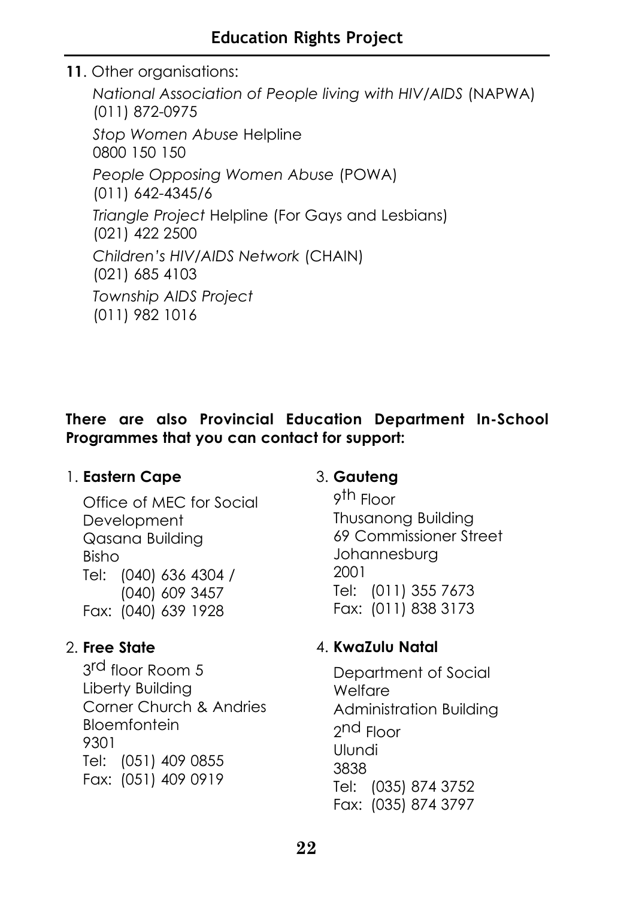**11**. Other organisations:

*National Association of People living with HIV/AIDS* (NAPWA) (011) 872-0975 *Stop Women Abuse* Helpline 0800 150 150 *People Opposing Women Abuse* (POWA) (011) 642-4345/6 *Triangle Project* Helpline (For Gays and Lesbians) (021) 422 2500 *Children's HIV/AIDS Network* (CHAIN) (021) 685 4103 *Township AIDS Project* (011) 982 1016

#### **There are also Provincial Education Department In-School Programmes that you can contact for support:**

#### 1. **Eastern Cape**

Office of MEC for Social **Development** Qasana Building Bisho Tel: (040) 636 4304 / (040) 609 3457 Fax: (040) 639 1928

#### 2. **Free State**

3rd floor Room 5 Liberty Building Corner Church & Andries **Bloemfontein** 9301 Tel: (051) 409 0855 Fax: (051) 409 0919

#### 3. **Gauteng**

9th Floor Thusanong Building 69 Commissioner Street Johannesburg 2001 Tel: (011) 355 7673 Fax: (011) 838 3173

#### 4. **KwaZulu Natal**

Department of Social Welfare Administration Building 2nd Floor Ulundi 3838 Tel: (035) 874 3752 Fax: (035) 874 3797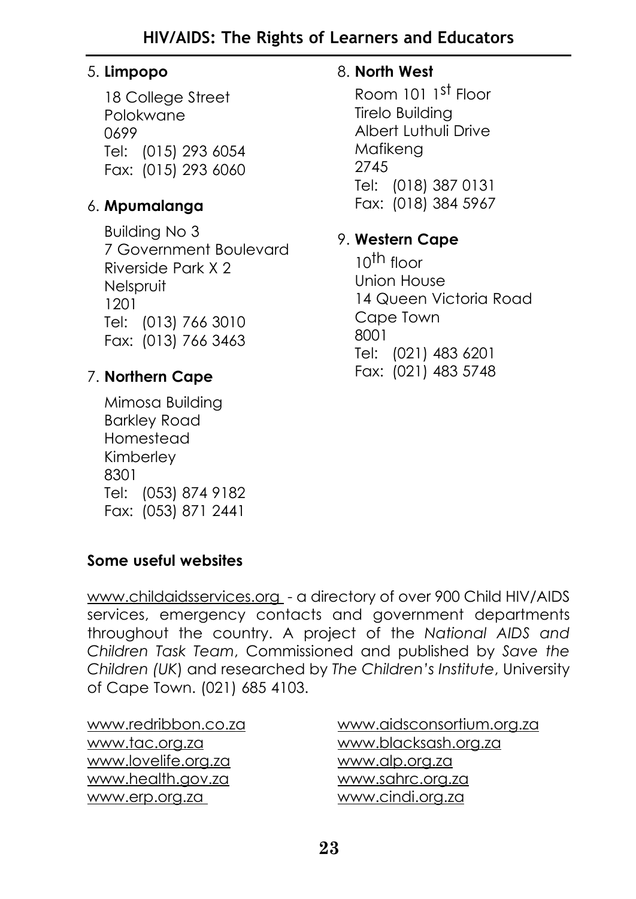#### 5. **Limpopo**

18 College Street Polokwane 0699 Tel: (015) 293 6054 Fax: (015) 293 6060

#### 6. **Mpumalanga**

Building No 3 7 Government Boulevard Riverside Park X 2 Nelspruit 1201 Tel: (013) 766 3010 Fax: (013) 766 3463

#### 7. **Northern Cape**

Mimosa Building Barkley Road Homestead Kimberley 8301 Tel: (053) 874 9182 Fax: (053) 871 2441

#### 8. **North West**

Room 101 1st Floor Tirelo Building Albert Luthuli Drive Mafikeng 2745 Tel: (018) 387 0131 Fax: (018) 384 5967

#### 9. **Western Cape**

 $10^{th}$  floor Union House 14 Queen Victoria Road Cape Town 8001 Tel: (021) 483 6201 Fax: (021) 483 5748

#### **Some useful websites**

www.childaidsservices.org - a directory of over 900 Child HIV/AIDS services, emergency contacts and government departments throughout the country. A project of the *National AIDS and Children Task Team*, Commissioned and published by *Save the Children (UK*) and researched by *The Children's Institute*, University of Cape Town. (021) 685 4103.

www.redribbon.co.za www.tac.org.za www.lovelife.org.za www.health.gov.za www.erp.org.za

www.aidsconsortium.org.za www.blacksash.org.za www.alp.org.za www.sahrc.org.za www.cindi.org.za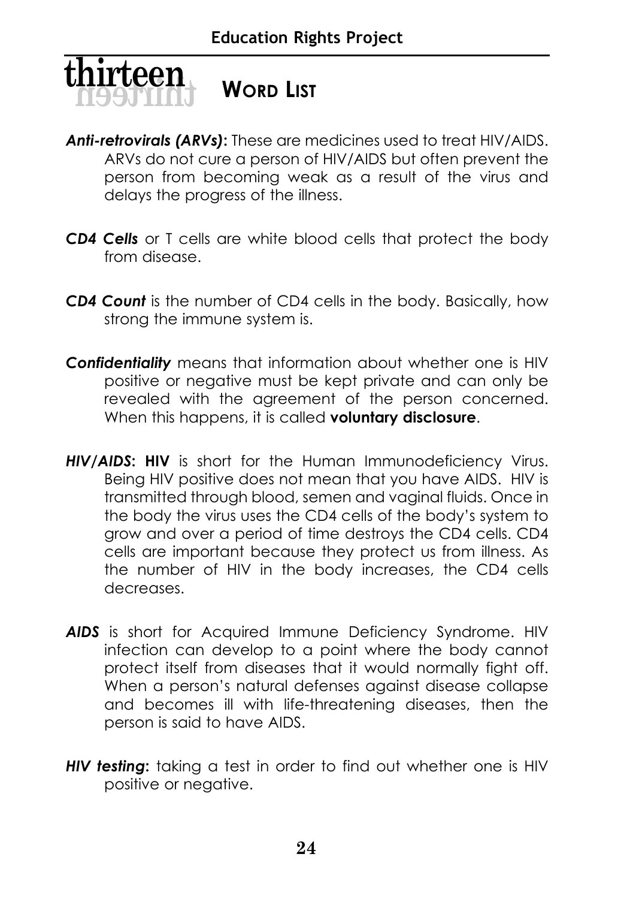

#### **WORD LIST**

- *Anti-retrovirals (ARVs)***:** These are medicines used to treat HIV/AIDS. ARVs do not cure a person of HIV/AIDS but often prevent the person from becoming weak as a result of the virus and delays the progress of the illness.
- *CD4 Cells* or T cells are white blood cells that protect the body from disease.
- *CD4 Count* is the number of CD4 cells in the body. Basically, how strong the immune system is.
- *Confidentiality* means that information about whether one is HIV positive or negative must be kept private and can only be revealed with the agreement of the person concerned. When this happens, it is called **voluntary disclosure**.
- *HIV/AIDS***: HIV** is short for the Human Immunodeficiency Virus. Being HIV positive does not mean that you have AIDS. HIV is transmitted through blood, semen and vaginal fluids. Once in the body the virus uses the CD4 cells of the body's system to grow and over a period of time destroys the CD4 cells. CD4 cells are important because they protect us from illness. As the number of HIV in the body increases, the CD4 cells decreases.
- *AIDS* is short for Acquired Immune Deficiency Syndrome. HIV infection can develop to a point where the body cannot protect itself from diseases that it would normally fight off. When a person's natural defenses against disease collapse and becomes ill with life-threatening diseases, then the person is said to have AIDS.
- *HIV testing***:** taking a test in order to find out whether one is HIV positive or negative.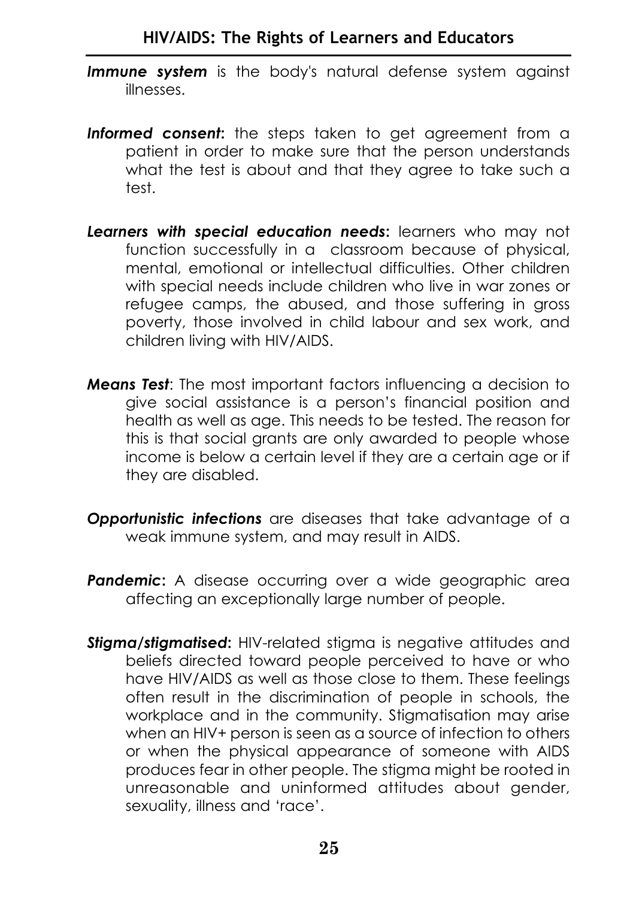- **Immune system** is the body's natural defense system against illnesses.
- **Informed consent:** the steps taken to get agreement from a patient in order to make sure that the person understands what the test is about and that they agree to take such a test.
- *Learners with special education needs***:** learners who may not function successfully in a classroom because of physical, mental, emotional or intellectual difficulties. Other children with special needs include children who live in war zones or refugee camps, the abused, and those suffering in gross poverty, those involved in child labour and sex work, and children living with HIV/AIDS.
- *Means Test*: The most important factors influencing a decision to give social assistance is a person's financial position and health as well as age. This needs to be tested. The reason for this is that social grants are only awarded to people whose income is below a certain level if they are a certain age or if they are disabled.
- *Opportunistic infections* are diseases that take advantage of a weak immune system, and may result in AIDS.
- **Pandemic:** A disease occurring over a wide geographic area affecting an exceptionally large number of people.
- **Stigma/stigmatised:** HIV-related stigma is negative attitudes and beliefs directed toward people perceived to have or who have HIV/AIDS as well as those close to them. These feelings often result in the discrimination of people in schools, the workplace and in the community. Stigmatisation may arise when an HIV+ person is seen as a source of infection to others or when the physical appearance of someone with AIDS produces fear in other people. The stigma might be rooted in unreasonable and uninformed attitudes about gender, sexuality, illness and 'race'.